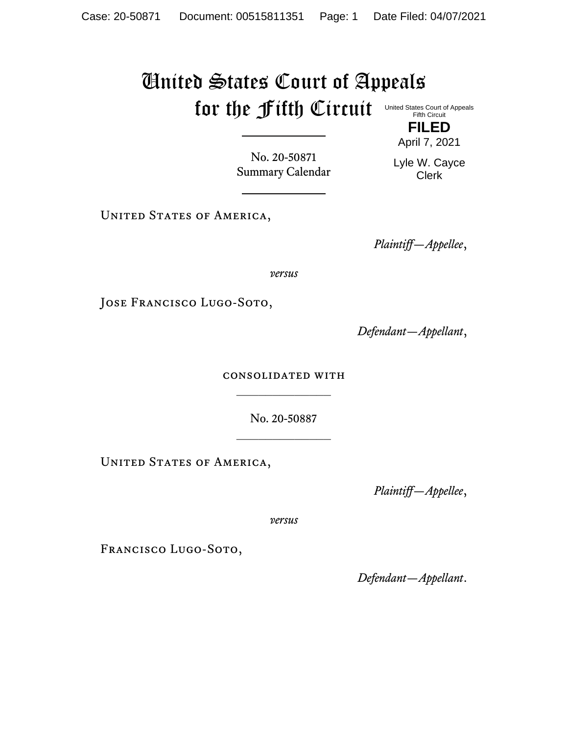## United States Court of Appeals for the Fifth Circuit United States Court of Appeals

**FILED**

No. 20-50871 Summary Calendar Lyle W. Cayce Clerk

UNITED STATES OF AMERICA,

*Plaintiff—Appellee*,

*versus*

JOSE FRANCISCO LUGO-SOTO,

*Defendant—Appellant*,

consolidated with  $\frac{1}{2}$ 

No. 20-50887

UNITED STATES OF AMERICA,

*Plaintiff—Appellee*,

*versus*

FRANCISCO LUGO-SOTO,

*Defendant—Appellant*.

Fifth Circuit

April 7, 2021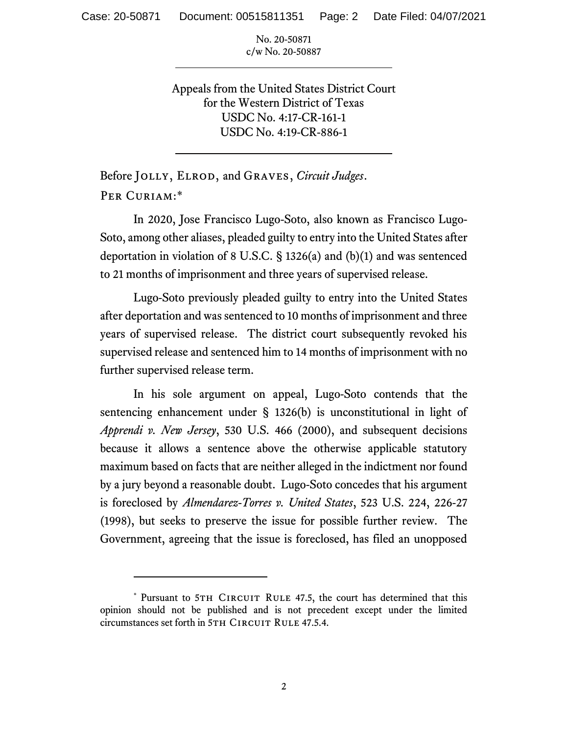No. 20-50871 c/w No. 20-50887

Appeals from the United States District Court for the Western District of Texas USDC No. 4:17-CR-161-1 USDC No. 4:19-CR-886-1

Before Jolly, Elrod, and Graves, *Circuit Judges*. Per Curiam:\*

In 2020, Jose Francisco Lugo-Soto, also known as Francisco Lugo-Soto, among other aliases, pleaded guilty to entry into the United States after deportation in violation of 8 U.S.C. § 1326(a) and (b)(1) and was sentenced to 21 months of imprisonment and three years of supervised release.

Lugo-Soto previously pleaded guilty to entry into the United States after deportation and was sentenced to 10 months of imprisonment and three years of supervised release. The district court subsequently revoked his supervised release and sentenced him to 14 months of imprisonment with no further supervised release term.

In his sole argument on appeal, Lugo-Soto contends that the sentencing enhancement under § 1326(b) is unconstitutional in light of *Apprendi v. New Jersey*, 530 U.S. 466 (2000), and subsequent decisions because it allows a sentence above the otherwise applicable statutory maximum based on facts that are neither alleged in the indictment nor found by a jury beyond a reasonable doubt. Lugo-Soto concedes that his argument is foreclosed by *Almendarez-Torres v. United States*, 523 U.S. 224, 226-27 (1998), but seeks to preserve the issue for possible further review. The Government, agreeing that the issue is foreclosed, has filed an unopposed

<sup>\*</sup> Pursuant to 5TH CIRCUIT RULE 47.5, the court has determined that this opinion should not be published and is not precedent except under the limited circumstances set forth in 5TH CIRCUIT RULE 47.5.4.